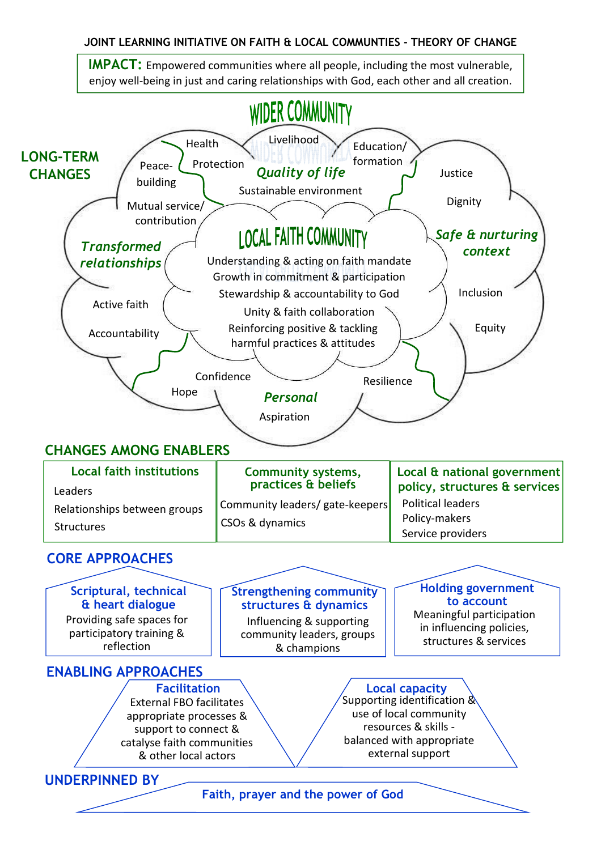## JOINT LEARNING INITIATIVE ON FAITH & LOCAL COMMUNTIES - THEORY OF CHANGE

 IMPACT: Empowered communities where all people, including the most vulnerable, enjoy well-being in just and caring relationships with God, each other and all creation.

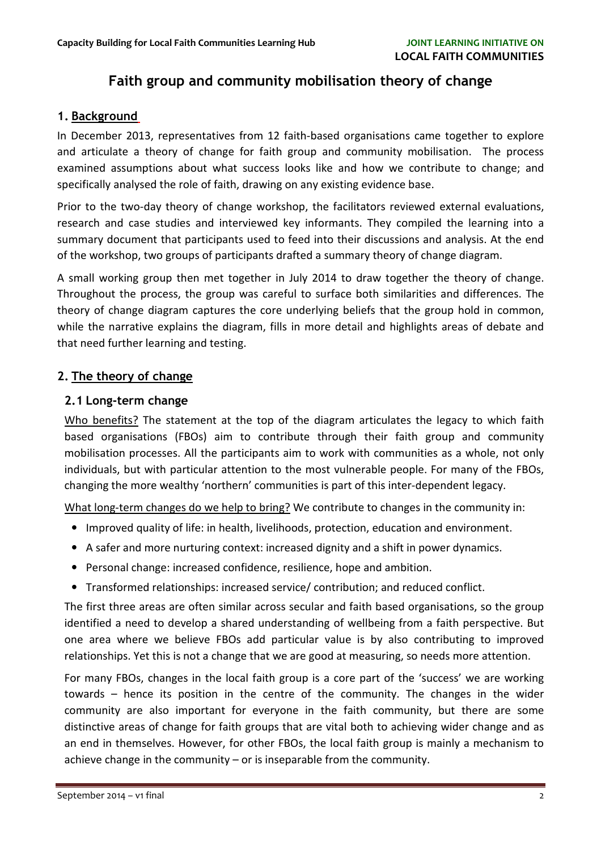# Faith group and community mobilisation theory of change

### 1. Background

In December 2013, representatives from 12 faith-based organisations came together to explore and articulate a theory of change for faith group and community mobilisation. The process examined assumptions about what success looks like and how we contribute to change; and specifically analysed the role of faith, drawing on any existing evidence base.

Prior to the two-day theory of change workshop, the facilitators reviewed external evaluations, research and case studies and interviewed key informants. They compiled the learning into a summary document that participants used to feed into their discussions and analysis. At the end of the workshop, two groups of participants drafted a summary theory of change diagram.

A small working group then met together in July 2014 to draw together the theory of change. Throughout the process, the group was careful to surface both similarities and differences. The theory of change diagram captures the core underlying beliefs that the group hold in common, while the narrative explains the diagram, fills in more detail and highlights areas of debate and that need further learning and testing.

### 2. The theory of change

### 2.1 Long-term change

Who benefits? The statement at the top of the diagram articulates the legacy to which faith based organisations (FBOs) aim to contribute through their faith group and community mobilisation processes. All the participants aim to work with communities as a whole, not only individuals, but with particular attention to the most vulnerable people. For many of the FBOs, changing the more wealthy 'northern' communities is part of this inter-dependent legacy.

What long-term changes do we help to bring? We contribute to changes in the community in:

- Improved quality of life: in health, livelihoods, protection, education and environment.
- A safer and more nurturing context: increased dignity and a shift in power dynamics.
- Personal change: increased confidence, resilience, hope and ambition.
- Transformed relationships: increased service/ contribution; and reduced conflict.

The first three areas are often similar across secular and faith based organisations, so the group identified a need to develop a shared understanding of wellbeing from a faith perspective. But one area where we believe FBOs add particular value is by also contributing to improved relationships. Yet this is not a change that we are good at measuring, so needs more attention.

For many FBOs, changes in the local faith group is a core part of the 'success' we are working towards – hence its position in the centre of the community. The changes in the wider community are also important for everyone in the faith community, but there are some distinctive areas of change for faith groups that are vital both to achieving wider change and as an end in themselves. However, for other FBOs, the local faith group is mainly a mechanism to achieve change in the community – or is inseparable from the community.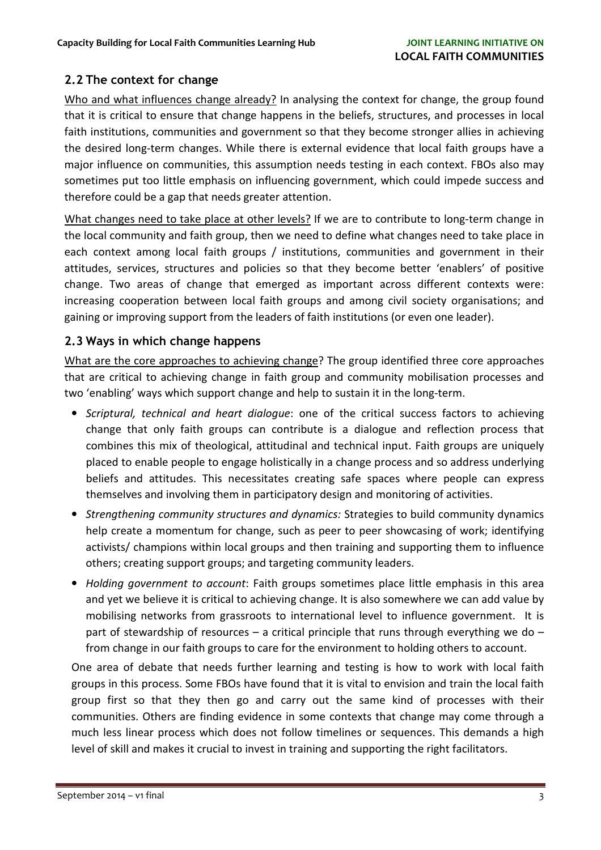# 2.2 The context for change

Who and what influences change already? In analysing the context for change, the group found that it is critical to ensure that change happens in the beliefs, structures, and processes in local faith institutions, communities and government so that they become stronger allies in achieving the desired long-term changes. While there is external evidence that local faith groups have a major influence on communities, this assumption needs testing in each context. FBOs also may sometimes put too little emphasis on influencing government, which could impede success and therefore could be a gap that needs greater attention.

What changes need to take place at other levels? If we are to contribute to long-term change in the local community and faith group, then we need to define what changes need to take place in each context among local faith groups / institutions, communities and government in their attitudes, services, structures and policies so that they become better 'enablers' of positive change. Two areas of change that emerged as important across different contexts were: increasing cooperation between local faith groups and among civil society organisations; and gaining or improving support from the leaders of faith institutions (or even one leader).

## 2.3 Ways in which change happens

What are the core approaches to achieving change? The group identified three core approaches that are critical to achieving change in faith group and community mobilisation processes and two 'enabling' ways which support change and help to sustain it in the long-term.

- Scriptural, technical and heart dialogue: one of the critical success factors to achieving change that only faith groups can contribute is a dialogue and reflection process that combines this mix of theological, attitudinal and technical input. Faith groups are uniquely placed to enable people to engage holistically in a change process and so address underlying beliefs and attitudes. This necessitates creating safe spaces where people can express themselves and involving them in participatory design and monitoring of activities.
- Strengthening community structures and dynamics: Strategies to build community dynamics help create a momentum for change, such as peer to peer showcasing of work; identifying activists/ champions within local groups and then training and supporting them to influence others; creating support groups; and targeting community leaders.
- Holding government to account: Faith groups sometimes place little emphasis in this area and yet we believe it is critical to achieving change. It is also somewhere we can add value by mobilising networks from grassroots to international level to influence government. It is part of stewardship of resources  $-$  a critical principle that runs through everything we do  $$ from change in our faith groups to care for the environment to holding others to account.

One area of debate that needs further learning and testing is how to work with local faith groups in this process. Some FBOs have found that it is vital to envision and train the local faith group first so that they then go and carry out the same kind of processes with their communities. Others are finding evidence in some contexts that change may come through a much less linear process which does not follow timelines or sequences. This demands a high level of skill and makes it crucial to invest in training and supporting the right facilitators.